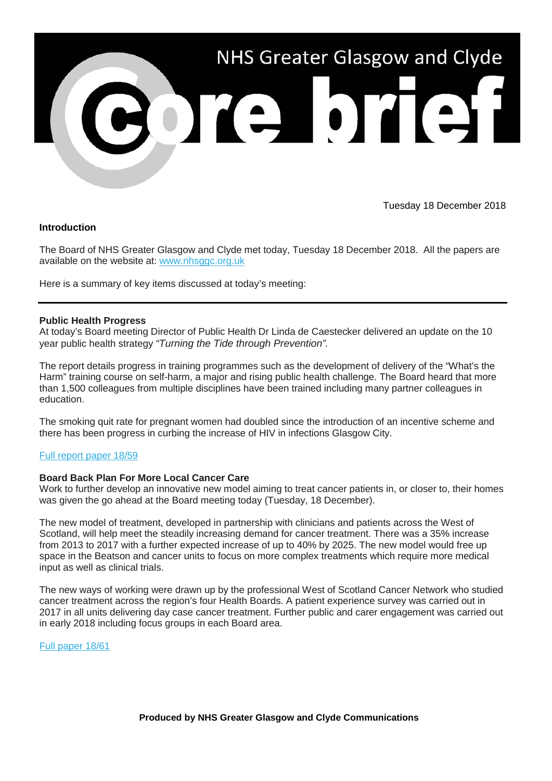

Tuesday 18 December 2018

# **Introduction**

The Board of NHS Greater Glasgow and Clyde met today, Tuesday 18 December 2018. All the papers are available on the website at: [www.nhsggc.org.uk](https://nhsggc.us12.list-manage.com/track/click?u=0f385b5aea37eaf0213bd19fb&id=167b32e019&e=5af5e1832c) 

Here is a summary of key items discussed at today's meeting:

### **Public Health Progress**

At today's Board meeting Director of Public Health Dr Linda de Caestecker delivered an update on the 10 year public health strategy *"Turning the Tide through Prevention".*

The report details progress in training programmes such as the development of delivery of the "What's the Harm" training course on self-harm, a major and rising public health challenge. The Board heard that more than 1,500 colleagues from multiple disciplines have been trained including many partner colleagues in education.

The smoking quit rate for pregnant women had doubled since the introduction of an incentive scheme and there has been progress in curbing the increase of HIV in infections Glasgow City.

#### [Full report paper 18/59](https://nhsggc.us12.list-manage.com/track/click?u=0f385b5aea37eaf0213bd19fb&id=cdbf3dbaf1&e=5af5e1832c)

# **Board Back Plan For More Local Cancer Care**

Work to further develop an innovative new model aiming to treat cancer patients in, or closer to, their homes was given the go ahead at the Board meeting today (Tuesday, 18 December).

The new model of treatment, developed in partnership with clinicians and patients across the West of Scotland, will help meet the steadily increasing demand for cancer treatment. There was a 35% increase from 2013 to 2017 with a further expected increase of up to 40% by 2025. The new model would free up space in the Beatson and cancer units to focus on more complex treatments which require more medical input as well as clinical trials.

The new ways of working were drawn up by the professional West of Scotland Cancer Network who studied cancer treatment across the region's four Health Boards. A patient experience survey was carried out in 2017 in all units delivering day case cancer treatment. Further public and carer engagement was carried out in early 2018 including focus groups in each Board area.

[Full paper 18/61](https://nhsggc.us12.list-manage.com/track/click?u=0f385b5aea37eaf0213bd19fb&id=2aa26148ad&e=5af5e1832c)